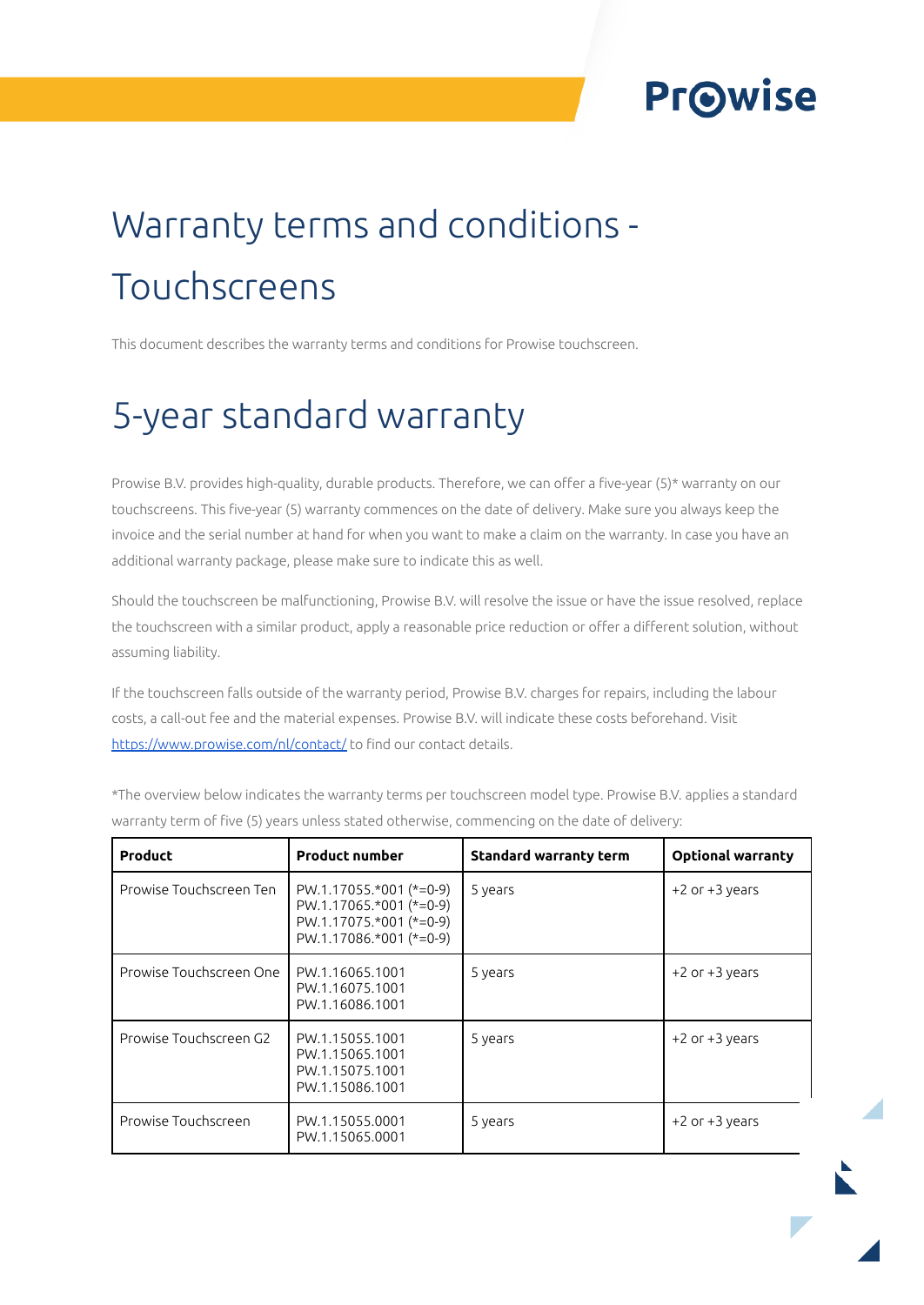### **Prowise**

# Warranty terms and conditions - Touchscreens

This document describes the warranty terms and conditions for Prowise touchscreen.

### 5-year standard warranty

Prowise B.V. provides high-quality, durable products. Therefore, we can offer a five-year (5)\* warranty on our touchscreens. This five-year (5) warranty commences on the date of delivery. Make sure you always keep the invoice and the serial number at hand for when you want to make a claim on the warranty. In case you have an additional warranty package, please make sure to indicate this as well.

Should the touchscreen be malfunctioning, Prowise B.V. will resolve the issue or have the issue resolved, replace the touchscreen with a similar product, apply a reasonable price reduction or offer a different solution, without assuming liability.

If the touchscreen falls outside of the warranty period, Prowise B.V. charges for repairs, including the labour costs, a call-out fee and the material expenses. Prowise B.V. will indicate these costs beforehand. Visit <https://www.prowise.com/nl/contact/> to find our contact details.

| Product                 | <b>Product number</b>                                                                                      | <b>Standard warranty term</b> | <b>Optional warranty</b> |
|-------------------------|------------------------------------------------------------------------------------------------------------|-------------------------------|--------------------------|
| Prowise Touchscreen Ten | $PW.1.17055.*001 (*=0-9)$<br>PW.1.17065.*001 (*=0-9)<br>PW.1.17075.*001 (*=0-9)<br>PW.1.17086.*001 (*=0-9) | 5 years                       | $+2$ or $+3$ years       |
| Prowise Touchscreen One | PW.1.16065.1001<br>PW.1.16075.1001<br>PW.1.16086.1001                                                      | 5 years                       | $+2$ or $+3$ years       |
| Prowise Touchscreen G2  | PW.1.15055.1001<br>PW.1.15065.1001<br>PW.1.15075.1001<br>PW.1.15086.1001                                   | 5 years                       | +2 or +3 years           |
| Prowise Touchscreen     | PW.1.15055.0001<br>PW.1.15065.0001                                                                         | 5 years                       | $+2$ or $+3$ years       |

\*The overview below indicates the warranty terms per touchscreen model type. Prowise B.V. applies a standard warranty term of five (5) years unless stated otherwise, commencing on the date of delivery: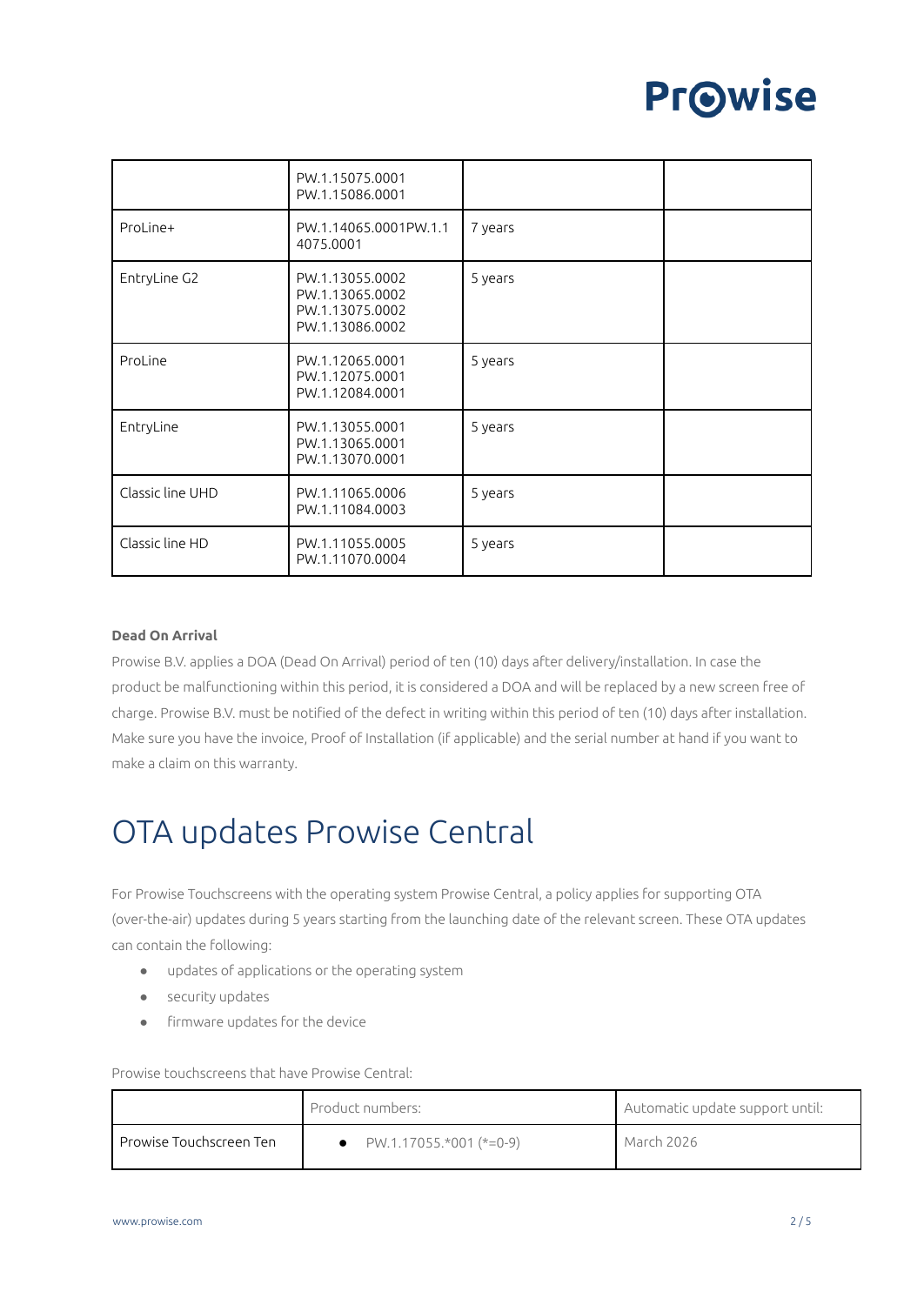## **Prowise**

|                  | PW.1.15075.0001<br>PW.1.15086.0001                                       |         |  |
|------------------|--------------------------------------------------------------------------|---------|--|
| ProLine+         | PW.1.14065.0001PW.1.1<br>4075.0001                                       | 7 years |  |
| EntryLine G2     | PW.1.13055.0002<br>PW.1.13065.0002<br>PW.1.13075.0002<br>PW.1.13086.0002 | 5 years |  |
| ProLine          | PW.1.12065.0001<br>PW.1.12075.0001<br>PW.1.12084.0001                    | 5 years |  |
| EntryLine        | PW.1.13055.0001<br>PW.1.13065.0001<br>PW.1.13070.0001                    | 5 years |  |
| Classic line UHD | PW.1.11065.0006<br>PW.1.11084.0003                                       | 5 years |  |
| Classic line HD  | PW.1.11055.0005<br>PW.1.11070.0004                                       | 5 years |  |

#### **Dead On Arrival**

Prowise B.V. applies a DOA (Dead On Arrival) period of ten (10) days after delivery/installation. In case the product be malfunctioning within this period, it is considered a DOA and will be replaced by a new screen free of charge. Prowise B.V. must be notified of the defect in writing within this period of ten (10) days after installation. Make sure you have the invoice, Proof of Installation (if applicable) and the serial number at hand if you want to make a claim on this warranty.

### OTA updates Prowise Central

For Prowise Touchscreens with the operating system Prowise Central, a policy applies for supporting OTA (over-the-air) updates during 5 years starting from the launching date of the relevant screen. These OTA updates can contain the following:

- updates of applications or the operating system
- security updates
- firmware updates for the device

Prowise touchscreens that have Prowise Central:

|                            | Product numbers:        | Automatic update support until: |
|----------------------------|-------------------------|---------------------------------|
| l Prowise Touchscreen Ten- | PW.1.17055.*001 (*=0-9) | March 2026                      |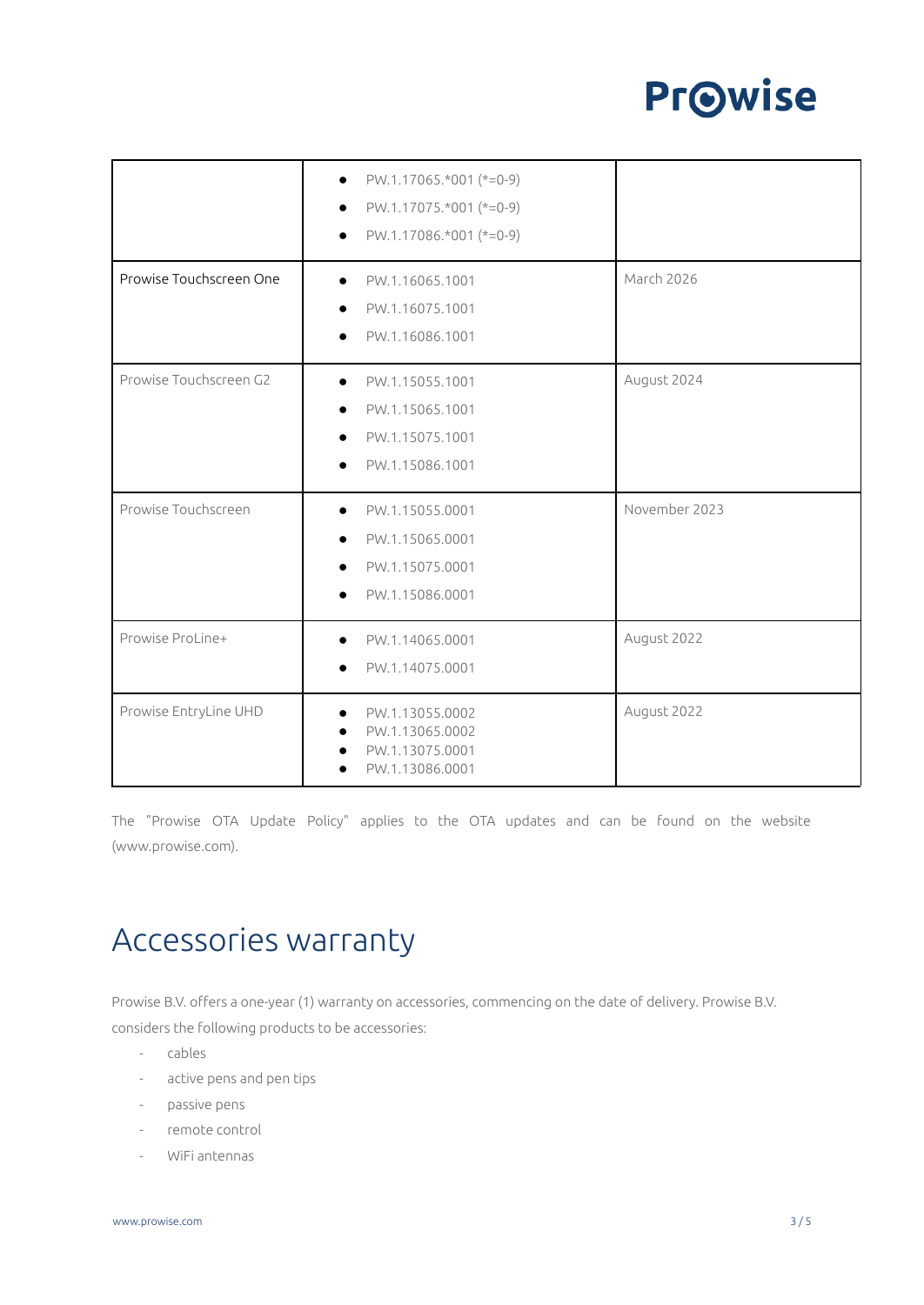### **Pr**Owise

|                         | PW.1.17065.*001 (*=0-9)<br>$\bullet$<br>PW.1.17075.*001 (*=0-9)<br>PW.1.17086.*001 (*=0-9)                      |               |
|-------------------------|-----------------------------------------------------------------------------------------------------------------|---------------|
|                         |                                                                                                                 |               |
| Prowise Touchscreen One | PW.1.16065.1001<br>$\bullet$                                                                                    | March 2026    |
|                         | PW.1.16075.1001                                                                                                 |               |
|                         | PW.1.16086.1001                                                                                                 |               |
| Prowise Touchscreen G2  | PW.1.15055.1001<br>$\bullet$                                                                                    | August 2024   |
|                         | PW.1.15065.1001                                                                                                 |               |
|                         | PW.1.15075.1001                                                                                                 |               |
|                         | PW.1.15086.1001                                                                                                 |               |
| Prowise Touchscreen     | PW.1.15055.0001                                                                                                 | November 2023 |
|                         | PW.1.15065.0001                                                                                                 |               |
|                         | PW.1.15075.0001                                                                                                 |               |
|                         | PW.1.15086.0001                                                                                                 |               |
| Prowise ProLine+        | PW.1.14065.0001                                                                                                 | August 2022   |
|                         | PW.1.14075.0001                                                                                                 |               |
| Prowise EntryLine UHD   | PW.1.13055.0002<br>$\bullet$<br>PW.1.13065.0002<br>$\bullet$<br>PW.1.13075.0001<br>$\bullet$<br>PW.1.13086.0001 | August 2022   |

The "Prowise OTA Update Policy" applies to the OTA updates and can be found on the website (www.prowise.com).

#### Accessories warranty

Prowise B.V. offers a one-year (1) warranty on accessories, commencing on the date of delivery. Prowise B.V. considers the following products to be accessories:

- cables
- active pens and pen tips
- passive pens
- remote control
- WiFi antennas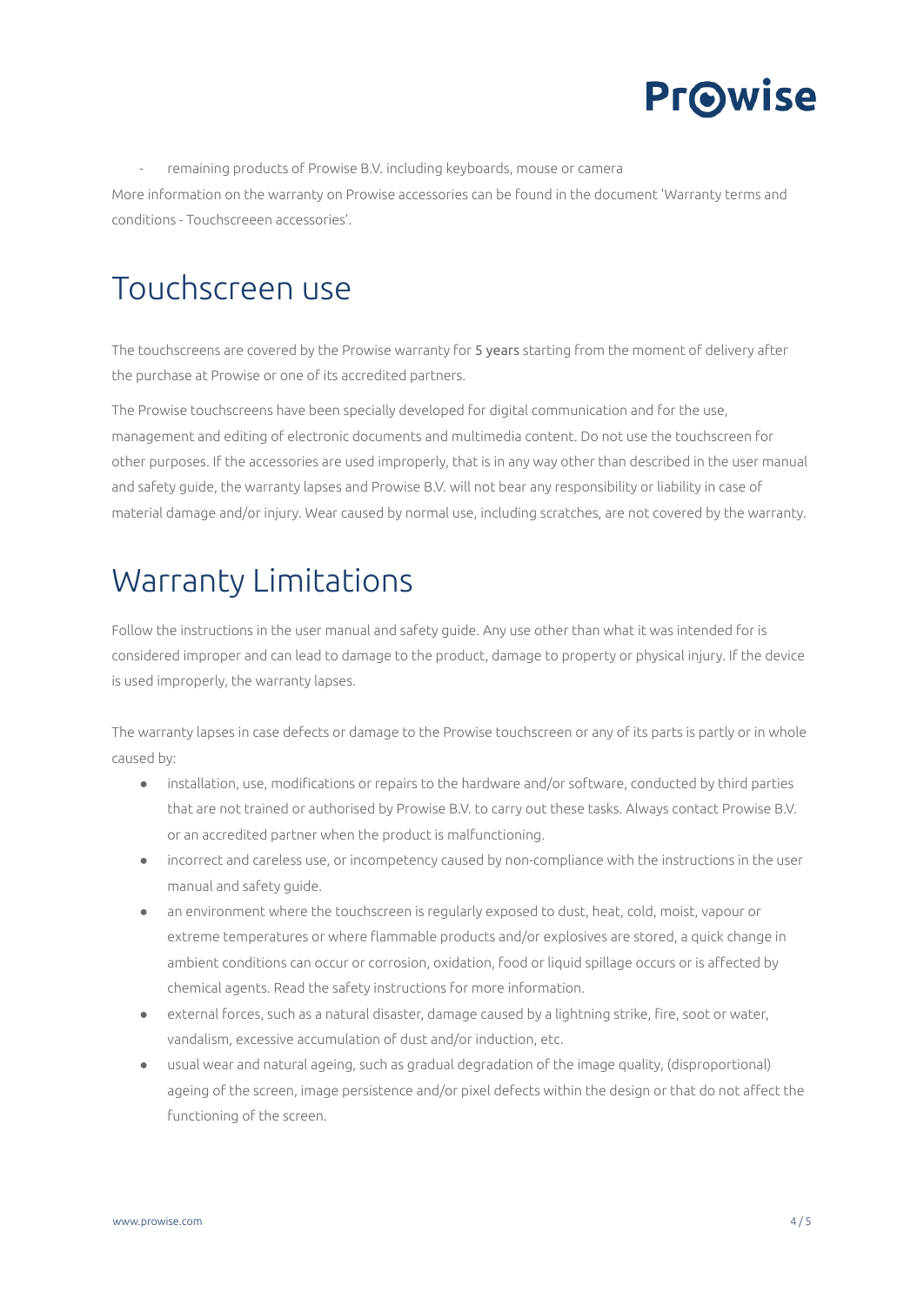

remaining products of Prowise B.V. including keyboards, mouse or camera More information on the warranty on Prowise accessories can be found in the document 'Warranty terms and conditions - Touchscreeen accessories'.

#### Touchscreen use

The touchscreens are covered by the Prowise warranty for 5 years starting from the moment of delivery after the purchase at Prowise or one of its accredited partners.

The Prowise touchscreens have been specially developed for digital communication and for the use, management and editing of electronic documents and multimedia content. Do not use the touchscreen for other purposes. If the accessories are used improperly, that is in any way other than described in the user manual and safety guide, the warranty lapses and Prowise B.V. will not bear any responsibility or liability in case of material damage and/or injury. Wear caused by normal use, including scratches, are not covered by the warranty.

#### Warranty Limitations

Follow the instructions in the user manual and safety guide. Any use other than what it was intended for is considered improper and can lead to damage to the product, damage to property or physical injury. If the device is used improperly, the warranty lapses.

The warranty lapses in case defects or damage to the Prowise touchscreen or any of its parts is partly or in whole caused by:

- installation, use, modifications or repairs to the hardware and/or software, conducted by third parties that are not trained or authorised by Prowise B.V. to carry out these tasks. Always contact Prowise B.V. or an accredited partner when the product is malfunctioning.
- incorrect and careless use, or incompetency caused by non-compliance with the instructions in the user manual and safety guide.
- an environment where the touchscreen is regularly exposed to dust, heat, cold, moist, vapour or extreme temperatures or where flammable products and/or explosives are stored, a quick change in ambient conditions can occur or corrosion, oxidation, food or liquid spillage occurs or is affected by chemical agents. Read the safety instructions for more information.
- external forces, such as a natural disaster, damage caused by a lightning strike, fire, soot or water, vandalism, excessive accumulation of dust and/or induction, etc.
- usual wear and natural ageing, such as gradual degradation of the image quality, (disproportional) ageing of the screen, image persistence and/or pixel defects within the design or that do not affect the functioning of the screen.